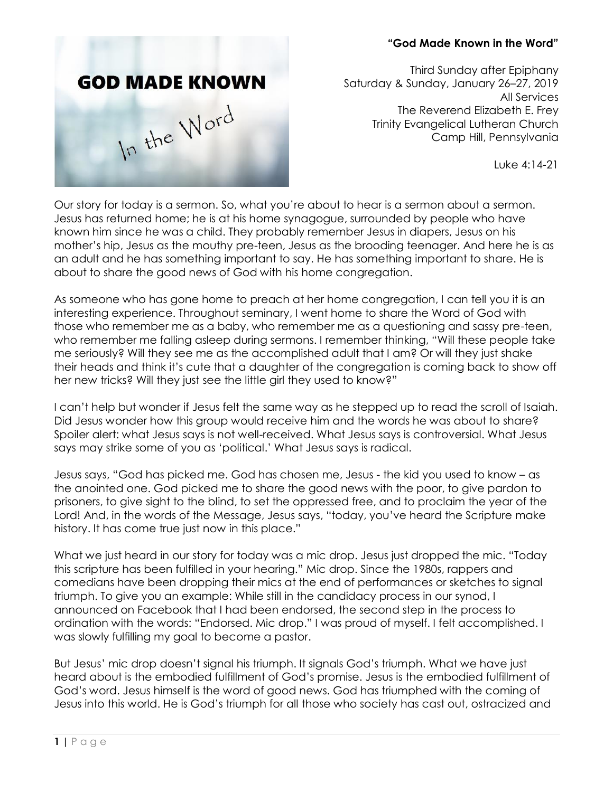## **"God Made Known in the Word"**



Third Sunday after Epiphany Saturday & Sunday, January 26–27, 2019 All Services The Reverend Elizabeth E. Frey Trinity Evangelical Lutheran Church Camp Hill, Pennsylvania

Luke 4:14-21

Our story for today is a sermon. So, what you're about to hear is a sermon about a sermon. Jesus has returned home; he is at his home synagogue, surrounded by people who have known him since he was a child. They probably remember Jesus in diapers, Jesus on his mother's hip, Jesus as the mouthy pre-teen, Jesus as the brooding teenager. And here he is as an adult and he has something important to say. He has something important to share. He is about to share the good news of God with his home congregation.

As someone who has gone home to preach at her home congregation, I can tell you it is an interesting experience. Throughout seminary, I went home to share the Word of God with those who remember me as a baby, who remember me as a questioning and sassy pre-teen, who remember me falling asleep during sermons. I remember thinking, "Will these people take me seriously? Will they see me as the accomplished adult that I am? Or will they just shake their heads and think it's cute that a daughter of the congregation is coming back to show off her new tricks? Will they just see the little girl they used to know?"

I can't help but wonder if Jesus felt the same way as he stepped up to read the scroll of Isaiah. Did Jesus wonder how this group would receive him and the words he was about to share? Spoiler alert: what Jesus says is not well-received. What Jesus says is controversial. What Jesus says may strike some of you as 'political.' What Jesus says is radical.

Jesus says, "God has picked me. God has chosen me, Jesus - the kid you used to know – as the anointed one. God picked me to share the good news with the poor, to give pardon to prisoners, to give sight to the blind, to set the oppressed free, and to proclaim the year of the Lord! And, in the words of the Message, Jesus says, "today, you've heard the Scripture make history. It has come true just now in this place."

What we just heard in our story for today was a mic drop. Jesus just dropped the mic. "Today this scripture has been fulfilled in your hearing." Mic drop. Since the 1980s, rappers and comedians have been dropping their mics at the end of performances or sketches to signal triumph. To give you an example: While still in the candidacy process in our synod, I announced on Facebook that I had been endorsed, the second step in the process to ordination with the words: "Endorsed. Mic drop." I was proud of myself. I felt accomplished. I was slowly fulfilling my goal to become a pastor.

But Jesus' mic drop doesn't signal his triumph. It signals God's triumph. What we have just heard about is the embodied fulfillment of God's promise. Jesus is the embodied fulfillment of God's word. Jesus himself is the word of good news. God has triumphed with the coming of Jesus into this world. He is God's triumph for all those who society has cast out, ostracized and